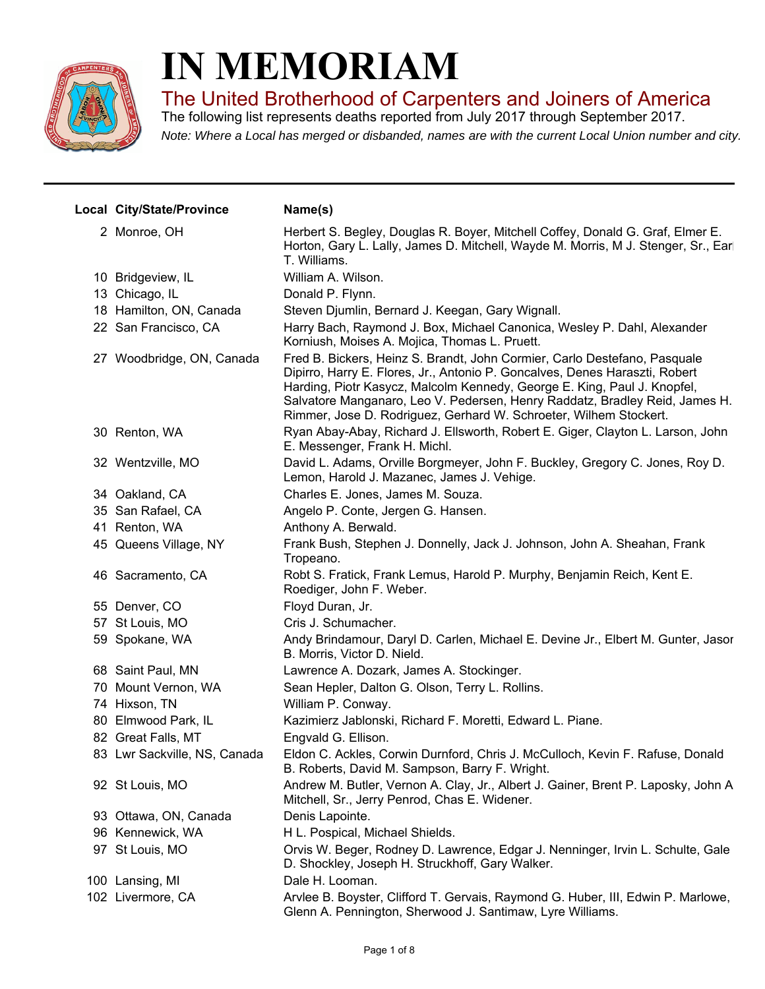

## **IN MEMORIAM**

The United Brotherhood of Carpenters and Joiners of America

*Note: Where a Local has merged or disbanded, names are with the current Local Union number and city.* The following list represents deaths reported from July 2017 through September 2017.

| Local City/State/Province    | Name(s)                                                                                                                                                                                                                                                                                                                                                                                  |
|------------------------------|------------------------------------------------------------------------------------------------------------------------------------------------------------------------------------------------------------------------------------------------------------------------------------------------------------------------------------------------------------------------------------------|
| 2 Monroe, OH                 | Herbert S. Begley, Douglas R. Boyer, Mitchell Coffey, Donald G. Graf, Elmer E.<br>Horton, Gary L. Lally, James D. Mitchell, Wayde M. Morris, M J. Stenger, Sr., Earl<br>T. Williams.                                                                                                                                                                                                     |
| 10 Bridgeview, IL            | William A. Wilson.                                                                                                                                                                                                                                                                                                                                                                       |
| 13 Chicago, IL               | Donald P. Flynn.                                                                                                                                                                                                                                                                                                                                                                         |
| 18 Hamilton, ON, Canada      | Steven Djumlin, Bernard J. Keegan, Gary Wignall.                                                                                                                                                                                                                                                                                                                                         |
| 22 San Francisco, CA         | Harry Bach, Raymond J. Box, Michael Canonica, Wesley P. Dahl, Alexander<br>Korniush, Moises A. Mojica, Thomas L. Pruett.                                                                                                                                                                                                                                                                 |
| 27 Woodbridge, ON, Canada    | Fred B. Bickers, Heinz S. Brandt, John Cormier, Carlo Destefano, Pasquale<br>Dipirro, Harry E. Flores, Jr., Antonio P. Goncalves, Denes Haraszti, Robert<br>Harding, Piotr Kasycz, Malcolm Kennedy, George E. King, Paul J. Knopfel,<br>Salvatore Manganaro, Leo V. Pedersen, Henry Raddatz, Bradley Reid, James H.<br>Rimmer, Jose D. Rodriguez, Gerhard W. Schroeter, Wilhem Stockert. |
| 30 Renton, WA                | Ryan Abay-Abay, Richard J. Ellsworth, Robert E. Giger, Clayton L. Larson, John<br>E. Messenger, Frank H. Michl.                                                                                                                                                                                                                                                                          |
| 32 Wentzville, MO            | David L. Adams, Orville Borgmeyer, John F. Buckley, Gregory C. Jones, Roy D.<br>Lemon, Harold J. Mazanec, James J. Vehige.                                                                                                                                                                                                                                                               |
| 34 Oakland, CA               | Charles E. Jones, James M. Souza.                                                                                                                                                                                                                                                                                                                                                        |
| 35 San Rafael, CA            | Angelo P. Conte, Jergen G. Hansen.                                                                                                                                                                                                                                                                                                                                                       |
| 41 Renton, WA                | Anthony A. Berwald.                                                                                                                                                                                                                                                                                                                                                                      |
| 45 Queens Village, NY        | Frank Bush, Stephen J. Donnelly, Jack J. Johnson, John A. Sheahan, Frank<br>Tropeano.                                                                                                                                                                                                                                                                                                    |
| 46 Sacramento, CA            | Robt S. Fratick, Frank Lemus, Harold P. Murphy, Benjamin Reich, Kent E.<br>Roediger, John F. Weber.                                                                                                                                                                                                                                                                                      |
| 55 Denver, CO                | Floyd Duran, Jr.                                                                                                                                                                                                                                                                                                                                                                         |
| 57 St Louis, MO              | Cris J. Schumacher.                                                                                                                                                                                                                                                                                                                                                                      |
| 59 Spokane, WA               | Andy Brindamour, Daryl D. Carlen, Michael E. Devine Jr., Elbert M. Gunter, Jasor<br>B. Morris, Victor D. Nield.                                                                                                                                                                                                                                                                          |
| 68 Saint Paul, MN            | Lawrence A. Dozark, James A. Stockinger.                                                                                                                                                                                                                                                                                                                                                 |
| 70 Mount Vernon, WA          | Sean Hepler, Dalton G. Olson, Terry L. Rollins.                                                                                                                                                                                                                                                                                                                                          |
| 74 Hixson, TN                | William P. Conway.                                                                                                                                                                                                                                                                                                                                                                       |
| 80 Elmwood Park, IL          | Kazimierz Jablonski, Richard F. Moretti, Edward L. Piane.                                                                                                                                                                                                                                                                                                                                |
| 82 Great Falls, MT           | Engvald G. Ellison.                                                                                                                                                                                                                                                                                                                                                                      |
| 83 Lwr Sackville, NS, Canada | Eldon C. Ackles, Corwin Durnford, Chris J. McCulloch, Kevin F. Rafuse, Donald<br>B. Roberts, David M. Sampson, Barry F. Wright.                                                                                                                                                                                                                                                          |
| 92 St Louis, MO              | Andrew M. Butler, Vernon A. Clay, Jr., Albert J. Gainer, Brent P. Laposky, John A<br>Mitchell, Sr., Jerry Penrod, Chas E. Widener.                                                                                                                                                                                                                                                       |
| 93 Ottawa, ON, Canada        | Denis Lapointe.                                                                                                                                                                                                                                                                                                                                                                          |
| 96 Kennewick, WA             | H L. Pospical, Michael Shields.                                                                                                                                                                                                                                                                                                                                                          |
| 97 St Louis, MO              | Orvis W. Beger, Rodney D. Lawrence, Edgar J. Nenninger, Irvin L. Schulte, Gale<br>D. Shockley, Joseph H. Struckhoff, Gary Walker.                                                                                                                                                                                                                                                        |
| 100 Lansing, MI              | Dale H. Looman.                                                                                                                                                                                                                                                                                                                                                                          |
| 102 Livermore, CA            | Arvlee B. Boyster, Clifford T. Gervais, Raymond G. Huber, III, Edwin P. Marlowe,<br>Glenn A. Pennington, Sherwood J. Santimaw, Lyre Williams.                                                                                                                                                                                                                                            |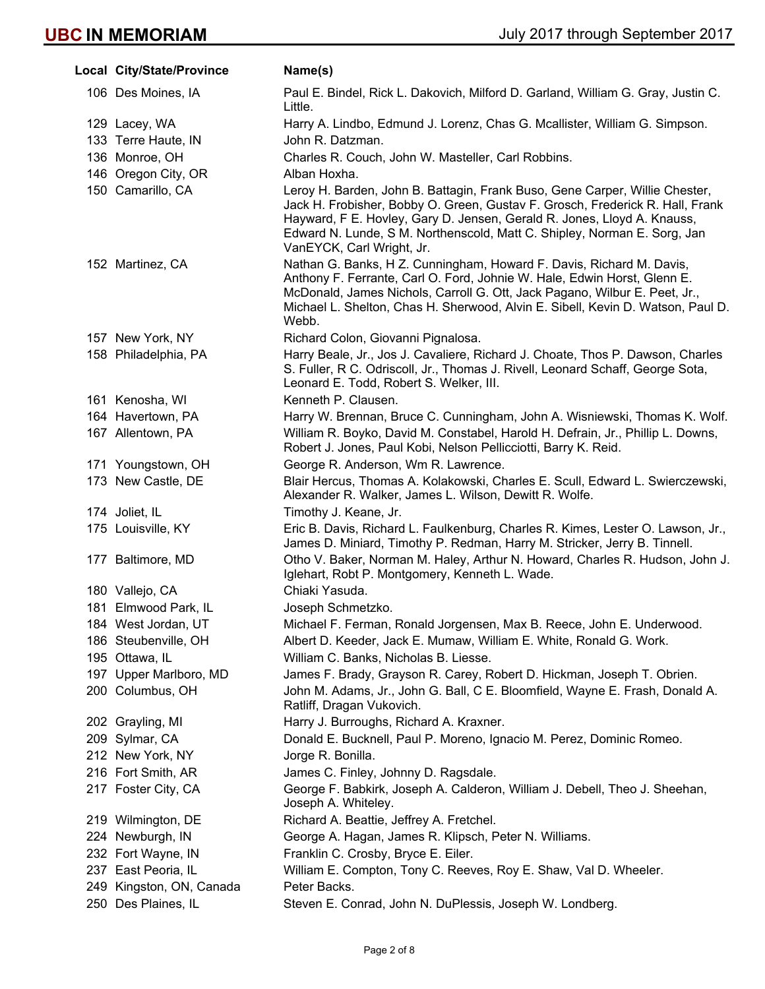|     | Local City/State/Province | Name(s)                                                                                                                                                                                                                                                                                                                                          |
|-----|---------------------------|--------------------------------------------------------------------------------------------------------------------------------------------------------------------------------------------------------------------------------------------------------------------------------------------------------------------------------------------------|
|     | 106 Des Moines, IA        | Paul E. Bindel, Rick L. Dakovich, Milford D. Garland, William G. Gray, Justin C.<br>Little.                                                                                                                                                                                                                                                      |
|     | 129 Lacey, WA             | Harry A. Lindbo, Edmund J. Lorenz, Chas G. Mcallister, William G. Simpson.                                                                                                                                                                                                                                                                       |
|     | 133 Terre Haute, IN       | John R. Datzman.                                                                                                                                                                                                                                                                                                                                 |
|     | 136 Monroe, OH            | Charles R. Couch, John W. Masteller, Carl Robbins.                                                                                                                                                                                                                                                                                               |
|     | 146 Oregon City, OR       | Alban Hoxha.                                                                                                                                                                                                                                                                                                                                     |
|     | 150 Camarillo, CA         | Leroy H. Barden, John B. Battagin, Frank Buso, Gene Carper, Willie Chester,<br>Jack H. Frobisher, Bobby O. Green, Gustav F. Grosch, Frederick R. Hall, Frank<br>Hayward, F E. Hovley, Gary D. Jensen, Gerald R. Jones, Lloyd A. Knauss,<br>Edward N. Lunde, S.M. Northenscold, Matt C. Shipley, Norman E. Sorg, Jan<br>VanEYCK, Carl Wright, Jr. |
|     | 152 Martinez, CA          | Nathan G. Banks, H Z. Cunningham, Howard F. Davis, Richard M. Davis,<br>Anthony F. Ferrante, Carl O. Ford, Johnie W. Hale, Edwin Horst, Glenn E.<br>McDonald, James Nichols, Carroll G. Ott, Jack Pagano, Wilbur E. Peet, Jr.,<br>Michael L. Shelton, Chas H. Sherwood, Alvin E. Sibell, Kevin D. Watson, Paul D.<br>Webb.                       |
|     | 157 New York, NY          | Richard Colon, Giovanni Pignalosa.                                                                                                                                                                                                                                                                                                               |
|     | 158 Philadelphia, PA      | Harry Beale, Jr., Jos J. Cavaliere, Richard J. Choate, Thos P. Dawson, Charles<br>S. Fuller, R C. Odriscoll, Jr., Thomas J. Rivell, Leonard Schaff, George Sota,<br>Leonard E. Todd, Robert S. Welker, III.                                                                                                                                      |
|     | 161 Kenosha, WI           | Kenneth P. Clausen.                                                                                                                                                                                                                                                                                                                              |
|     | 164 Havertown, PA         | Harry W. Brennan, Bruce C. Cunningham, John A. Wisniewski, Thomas K. Wolf.                                                                                                                                                                                                                                                                       |
|     | 167 Allentown, PA         | William R. Boyko, David M. Constabel, Harold H. Defrain, Jr., Phillip L. Downs,<br>Robert J. Jones, Paul Kobi, Nelson Pellicciotti, Barry K. Reid.                                                                                                                                                                                               |
|     | 171 Youngstown, OH        | George R. Anderson, Wm R. Lawrence.                                                                                                                                                                                                                                                                                                              |
|     | 173 New Castle, DE        | Blair Hercus, Thomas A. Kolakowski, Charles E. Scull, Edward L. Swierczewski,<br>Alexander R. Walker, James L. Wilson, Dewitt R. Wolfe.                                                                                                                                                                                                          |
|     | 174 Joliet, IL            | Timothy J. Keane, Jr.                                                                                                                                                                                                                                                                                                                            |
|     | 175 Louisville, KY        | Eric B. Davis, Richard L. Faulkenburg, Charles R. Kimes, Lester O. Lawson, Jr.,<br>James D. Miniard, Timothy P. Redman, Harry M. Stricker, Jerry B. Tinnell.                                                                                                                                                                                     |
|     | 177 Baltimore, MD         | Otho V. Baker, Norman M. Haley, Arthur N. Howard, Charles R. Hudson, John J.<br>Iglehart, Robt P. Montgomery, Kenneth L. Wade.                                                                                                                                                                                                                   |
|     | 180 Vallejo, CA           | Chiaki Yasuda.                                                                                                                                                                                                                                                                                                                                   |
|     | 181 Elmwood Park, IL      | Joseph Schmetzko.                                                                                                                                                                                                                                                                                                                                |
|     | 184 West Jordan, UT       | Michael F. Ferman, Ronald Jorgensen, Max B. Reece, John E. Underwood.                                                                                                                                                                                                                                                                            |
|     | 186 Steubenville, OH      | Albert D. Keeder, Jack E. Mumaw, William E. White, Ronald G. Work.                                                                                                                                                                                                                                                                               |
|     | 195 Ottawa, IL            | William C. Banks, Nicholas B. Liesse.                                                                                                                                                                                                                                                                                                            |
|     | 197 Upper Marlboro, MD    | James F. Brady, Grayson R. Carey, Robert D. Hickman, Joseph T. Obrien.                                                                                                                                                                                                                                                                           |
|     | 200 Columbus, OH          | John M. Adams, Jr., John G. Ball, C E. Bloomfield, Wayne E. Frash, Donald A.<br>Ratliff, Dragan Vukovich.                                                                                                                                                                                                                                        |
|     | 202 Grayling, MI          | Harry J. Burroughs, Richard A. Kraxner.                                                                                                                                                                                                                                                                                                          |
|     | 209 Sylmar, CA            | Donald E. Bucknell, Paul P. Moreno, Ignacio M. Perez, Dominic Romeo.                                                                                                                                                                                                                                                                             |
|     | 212 New York, NY          | Jorge R. Bonilla.                                                                                                                                                                                                                                                                                                                                |
|     | 216 Fort Smith, AR        | James C. Finley, Johnny D. Ragsdale.                                                                                                                                                                                                                                                                                                             |
|     | 217 Foster City, CA       | George F. Babkirk, Joseph A. Calderon, William J. Debell, Theo J. Sheehan,<br>Joseph A. Whiteley.                                                                                                                                                                                                                                                |
|     | 219 Wilmington, DE        | Richard A. Beattie, Jeffrey A. Fretchel.                                                                                                                                                                                                                                                                                                         |
|     | 224 Newburgh, IN          | George A. Hagan, James R. Klipsch, Peter N. Williams.                                                                                                                                                                                                                                                                                            |
|     | 232 Fort Wayne, IN        | Franklin C. Crosby, Bryce E. Eiler.                                                                                                                                                                                                                                                                                                              |
| 237 | East Peoria, IL           | William E. Compton, Tony C. Reeves, Roy E. Shaw, Val D. Wheeler.                                                                                                                                                                                                                                                                                 |
|     | 249 Kingston, ON, Canada  | Peter Backs.                                                                                                                                                                                                                                                                                                                                     |
|     | 250 Des Plaines, IL       | Steven E. Conrad, John N. DuPlessis, Joseph W. Londberg.                                                                                                                                                                                                                                                                                         |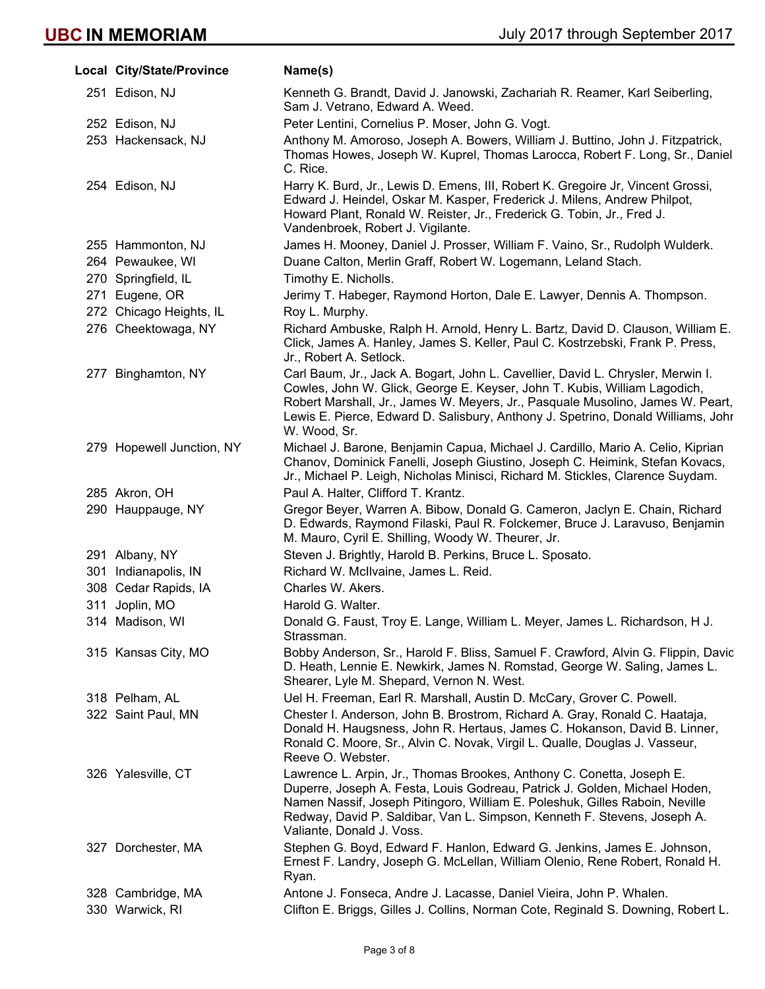| Local City/State/Province | Name(s)                                                                                                                                                                                                                                                                                                                                            |
|---------------------------|----------------------------------------------------------------------------------------------------------------------------------------------------------------------------------------------------------------------------------------------------------------------------------------------------------------------------------------------------|
| 251 Edison, NJ            | Kenneth G. Brandt, David J. Janowski, Zachariah R. Reamer, Karl Seiberling,<br>Sam J. Vetrano, Edward A. Weed.                                                                                                                                                                                                                                     |
| 252 Edison, NJ            | Peter Lentini, Cornelius P. Moser, John G. Vogt.                                                                                                                                                                                                                                                                                                   |
| 253 Hackensack, NJ        | Anthony M. Amoroso, Joseph A. Bowers, William J. Buttino, John J. Fitzpatrick,<br>Thomas Howes, Joseph W. Kuprel, Thomas Larocca, Robert F. Long, Sr., Daniel<br>C. Rice.                                                                                                                                                                          |
| 254 Edison, NJ            | Harry K. Burd, Jr., Lewis D. Emens, III, Robert K. Gregoire Jr, Vincent Grossi,<br>Edward J. Heindel, Oskar M. Kasper, Frederick J. Milens, Andrew Philpot,<br>Howard Plant, Ronald W. Reister, Jr., Frederick G. Tobin, Jr., Fred J.<br>Vandenbroek, Robert J. Vigilante.                                                                         |
| 255 Hammonton, NJ         | James H. Mooney, Daniel J. Prosser, William F. Vaino, Sr., Rudolph Wulderk.                                                                                                                                                                                                                                                                        |
| 264 Pewaukee, WI          | Duane Calton, Merlin Graff, Robert W. Logemann, Leland Stach.                                                                                                                                                                                                                                                                                      |
| 270 Springfield, IL       | Timothy E. Nicholls.                                                                                                                                                                                                                                                                                                                               |
| 271 Eugene, OR            | Jerimy T. Habeger, Raymond Horton, Dale E. Lawyer, Dennis A. Thompson.                                                                                                                                                                                                                                                                             |
| 272 Chicago Heights, IL   | Roy L. Murphy.                                                                                                                                                                                                                                                                                                                                     |
| 276 Cheektowaga, NY       | Richard Ambuske, Ralph H. Arnold, Henry L. Bartz, David D. Clauson, William E.<br>Click, James A. Hanley, James S. Keller, Paul C. Kostrzebski, Frank P. Press,<br>Jr., Robert A. Setlock.                                                                                                                                                         |
| 277 Binghamton, NY        | Carl Baum, Jr., Jack A. Bogart, John L. Cavellier, David L. Chrysler, Merwin I.<br>Cowles, John W. Glick, George E. Keyser, John T. Kubis, William Lagodich,<br>Robert Marshall, Jr., James W. Meyers, Jr., Pasquale Musolino, James W. Peart,<br>Lewis E. Pierce, Edward D. Salisbury, Anthony J. Spetrino, Donald Williams, Johr<br>W. Wood, Sr. |
| 279 Hopewell Junction, NY | Michael J. Barone, Benjamin Capua, Michael J. Cardillo, Mario A. Celio, Kiprian<br>Chanov, Dominick Fanelli, Joseph Giustino, Joseph C. Heimink, Stefan Kovacs,<br>Jr., Michael P. Leigh, Nicholas Minisci, Richard M. Stickles, Clarence Suydam.                                                                                                  |
| 285 Akron, OH             | Paul A. Halter, Clifford T. Krantz.                                                                                                                                                                                                                                                                                                                |
| 290 Hauppauge, NY         | Gregor Beyer, Warren A. Bibow, Donald G. Cameron, Jaclyn E. Chain, Richard<br>D. Edwards, Raymond Filaski, Paul R. Folckemer, Bruce J. Laravuso, Benjamin<br>M. Mauro, Cyril E. Shilling, Woody W. Theurer, Jr.                                                                                                                                    |
| 291 Albany, NY            | Steven J. Brightly, Harold B. Perkins, Bruce L. Sposato.                                                                                                                                                                                                                                                                                           |
| 301 Indianapolis, IN      | Richard W. McIlvaine, James L. Reid.                                                                                                                                                                                                                                                                                                               |
| 308 Cedar Rapids, IA      | Charles W. Akers.                                                                                                                                                                                                                                                                                                                                  |
| 311 Joplin, MO            | Harold G. Walter.                                                                                                                                                                                                                                                                                                                                  |
| 314 Madison, WI           | Donald G. Faust, Troy E. Lange, William L. Meyer, James L. Richardson, H J.<br>Strassman.                                                                                                                                                                                                                                                          |
| 315 Kansas City, MO       | Bobby Anderson, Sr., Harold F. Bliss, Samuel F. Crawford, Alvin G. Flippin, David<br>D. Heath, Lennie E. Newkirk, James N. Romstad, George W. Saling, James L.<br>Shearer, Lyle M. Shepard, Vernon N. West.                                                                                                                                        |
| 318 Pelham, AL            | Uel H. Freeman, Earl R. Marshall, Austin D. McCary, Grover C. Powell.                                                                                                                                                                                                                                                                              |
| 322 Saint Paul, MN        | Chester I. Anderson, John B. Brostrom, Richard A. Gray, Ronald C. Haataja,<br>Donald H. Haugsness, John R. Hertaus, James C. Hokanson, David B. Linner,<br>Ronald C. Moore, Sr., Alvin C. Novak, Virgil L. Qualle, Douglas J. Vasseur,<br>Reeve O. Webster.                                                                                        |
| 326 Yalesville, CT        | Lawrence L. Arpin, Jr., Thomas Brookes, Anthony C. Conetta, Joseph E.<br>Duperre, Joseph A. Festa, Louis Godreau, Patrick J. Golden, Michael Hoden,<br>Namen Nassif, Joseph Pitingoro, William E. Poleshuk, Gilles Raboin, Neville<br>Redway, David P. Saldibar, Van L. Simpson, Kenneth F. Stevens, Joseph A.<br>Valiante, Donald J. Voss.        |
| 327 Dorchester, MA        | Stephen G. Boyd, Edward F. Hanlon, Edward G. Jenkins, James E. Johnson,<br>Ernest F. Landry, Joseph G. McLellan, William Olenio, Rene Robert, Ronald H.<br>Ryan.                                                                                                                                                                                   |
| 328 Cambridge, MA         | Antone J. Fonseca, Andre J. Lacasse, Daniel Vieira, John P. Whalen.                                                                                                                                                                                                                                                                                |
| 330 Warwick, RI           | Clifton E. Briggs, Gilles J. Collins, Norman Cote, Reginald S. Downing, Robert L.                                                                                                                                                                                                                                                                  |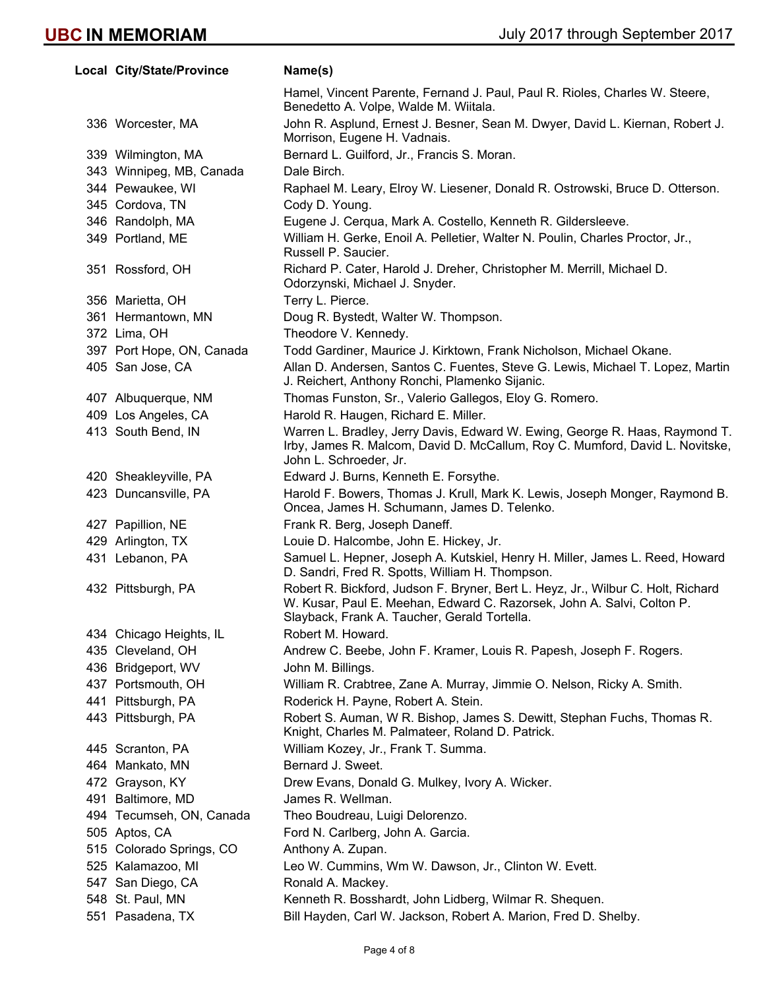|     | Local City/State/Province | Name(s)                                                                                                                                                                                                    |
|-----|---------------------------|------------------------------------------------------------------------------------------------------------------------------------------------------------------------------------------------------------|
|     |                           | Hamel, Vincent Parente, Fernand J. Paul, Paul R. Rioles, Charles W. Steere,<br>Benedetto A. Volpe, Walde M. Wiitala.                                                                                       |
|     | 336 Worcester, MA         | John R. Asplund, Ernest J. Besner, Sean M. Dwyer, David L. Kiernan, Robert J.<br>Morrison, Eugene H. Vadnais.                                                                                              |
|     | 339 Wilmington, MA        | Bernard L. Guilford, Jr., Francis S. Moran.                                                                                                                                                                |
|     | 343 Winnipeg, MB, Canada  | Dale Birch.                                                                                                                                                                                                |
|     | 344 Pewaukee, WI          | Raphael M. Leary, Elroy W. Liesener, Donald R. Ostrowski, Bruce D. Otterson.                                                                                                                               |
|     | 345 Cordova, TN           | Cody D. Young.                                                                                                                                                                                             |
|     | 346 Randolph, MA          | Eugene J. Cerqua, Mark A. Costello, Kenneth R. Gildersleeve.                                                                                                                                               |
|     | 349 Portland, ME          | William H. Gerke, Enoil A. Pelletier, Walter N. Poulin, Charles Proctor, Jr.,<br>Russell P. Saucier.                                                                                                       |
|     | 351 Rossford, OH          | Richard P. Cater, Harold J. Dreher, Christopher M. Merrill, Michael D.<br>Odorzynski, Michael J. Snyder.                                                                                                   |
|     | 356 Marietta, OH          | Terry L. Pierce.                                                                                                                                                                                           |
|     | 361 Hermantown, MN        | Doug R. Bystedt, Walter W. Thompson.                                                                                                                                                                       |
|     | 372 Lima, OH              | Theodore V. Kennedy.                                                                                                                                                                                       |
|     | 397 Port Hope, ON, Canada | Todd Gardiner, Maurice J. Kirktown, Frank Nicholson, Michael Okane.                                                                                                                                        |
|     | 405 San Jose, CA          | Allan D. Andersen, Santos C. Fuentes, Steve G. Lewis, Michael T. Lopez, Martin<br>J. Reichert, Anthony Ronchi, Plamenko Sijanic.                                                                           |
|     | 407 Albuquerque, NM       | Thomas Funston, Sr., Valerio Gallegos, Eloy G. Romero.                                                                                                                                                     |
|     | 409 Los Angeles, CA       | Harold R. Haugen, Richard E. Miller.                                                                                                                                                                       |
|     | 413 South Bend, IN        | Warren L. Bradley, Jerry Davis, Edward W. Ewing, George R. Haas, Raymond T.<br>Irby, James R. Malcom, David D. McCallum, Roy C. Mumford, David L. Novitske,<br>John L. Schroeder, Jr.                      |
|     | 420 Sheakleyville, PA     | Edward J. Burns, Kenneth E. Forsythe.                                                                                                                                                                      |
|     | 423 Duncansville, PA      | Harold F. Bowers, Thomas J. Krull, Mark K. Lewis, Joseph Monger, Raymond B.<br>Oncea, James H. Schumann, James D. Telenko.                                                                                 |
|     | 427 Papillion, NE         | Frank R. Berg, Joseph Daneff.                                                                                                                                                                              |
|     | 429 Arlington, TX         | Louie D. Halcombe, John E. Hickey, Jr.                                                                                                                                                                     |
|     | 431 Lebanon, PA           | Samuel L. Hepner, Joseph A. Kutskiel, Henry H. Miller, James L. Reed, Howard<br>D. Sandri, Fred R. Spotts, William H. Thompson.                                                                            |
|     | 432 Pittsburgh, PA        | Robert R. Bickford, Judson F. Bryner, Bert L. Heyz, Jr., Wilbur C. Holt, Richard<br>W. Kusar, Paul E. Meehan, Edward C. Razorsek, John A. Salvi, Colton P.<br>Slayback, Frank A. Taucher, Gerald Tortella. |
|     | 434 Chicago Heights, IL   | Robert M. Howard.                                                                                                                                                                                          |
|     | 435 Cleveland, OH         | Andrew C. Beebe, John F. Kramer, Louis R. Papesh, Joseph F. Rogers.                                                                                                                                        |
|     | 436 Bridgeport, WV        | John M. Billings.                                                                                                                                                                                          |
|     | 437 Portsmouth, OH        | William R. Crabtree, Zane A. Murray, Jimmie O. Nelson, Ricky A. Smith.                                                                                                                                     |
| 441 | Pittsburgh, PA            | Roderick H. Payne, Robert A. Stein.                                                                                                                                                                        |
|     | 443 Pittsburgh, PA        | Robert S. Auman, W R. Bishop, James S. Dewitt, Stephan Fuchs, Thomas R.<br>Knight, Charles M. Palmateer, Roland D. Patrick.                                                                                |
|     | 445 Scranton, PA          | William Kozey, Jr., Frank T. Summa.                                                                                                                                                                        |
|     | 464 Mankato, MN           | Bernard J. Sweet.                                                                                                                                                                                          |
|     | 472 Grayson, KY           | Drew Evans, Donald G. Mulkey, Ivory A. Wicker.                                                                                                                                                             |
| 491 | Baltimore, MD             | James R. Wellman.                                                                                                                                                                                          |
|     | 494 Tecumseh, ON, Canada  | Theo Boudreau, Luigi Delorenzo.                                                                                                                                                                            |
|     | 505 Aptos, CA             | Ford N. Carlberg, John A. Garcia.                                                                                                                                                                          |
|     | 515 Colorado Springs, CO  | Anthony A. Zupan.                                                                                                                                                                                          |
|     | 525 Kalamazoo, MI         | Leo W. Cummins, Wm W. Dawson, Jr., Clinton W. Evett.                                                                                                                                                       |
|     | 547 San Diego, CA         | Ronald A. Mackey.                                                                                                                                                                                          |
|     | 548 St. Paul, MN          | Kenneth R. Bosshardt, John Lidberg, Wilmar R. Shequen.                                                                                                                                                     |
|     | 551 Pasadena, TX          | Bill Hayden, Carl W. Jackson, Robert A. Marion, Fred D. Shelby.                                                                                                                                            |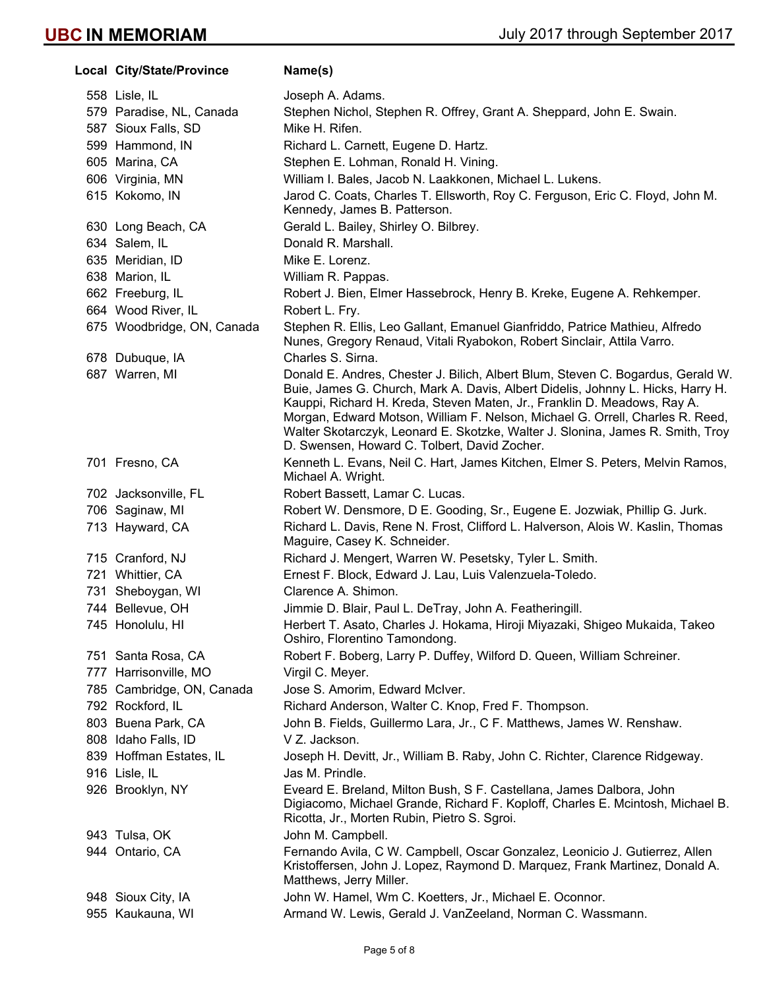| Local City/State/Province  | Name(s)                                                                                                                                                                                                                                                                                                                                                                                                                                                           |
|----------------------------|-------------------------------------------------------------------------------------------------------------------------------------------------------------------------------------------------------------------------------------------------------------------------------------------------------------------------------------------------------------------------------------------------------------------------------------------------------------------|
| 558 Lisle, IL              | Joseph A. Adams.                                                                                                                                                                                                                                                                                                                                                                                                                                                  |
| 579 Paradise, NL, Canada   | Stephen Nichol, Stephen R. Offrey, Grant A. Sheppard, John E. Swain.                                                                                                                                                                                                                                                                                                                                                                                              |
| 587 Sioux Falls, SD        | Mike H. Rifen.                                                                                                                                                                                                                                                                                                                                                                                                                                                    |
| 599 Hammond, IN            | Richard L. Carnett, Eugene D. Hartz.                                                                                                                                                                                                                                                                                                                                                                                                                              |
| 605 Marina, CA             | Stephen E. Lohman, Ronald H. Vining.                                                                                                                                                                                                                                                                                                                                                                                                                              |
| 606 Virginia, MN           | William I. Bales, Jacob N. Laakkonen, Michael L. Lukens.                                                                                                                                                                                                                                                                                                                                                                                                          |
| 615 Kokomo, IN             | Jarod C. Coats, Charles T. Ellsworth, Roy C. Ferguson, Eric C. Floyd, John M.<br>Kennedy, James B. Patterson.                                                                                                                                                                                                                                                                                                                                                     |
| 630 Long Beach, CA         | Gerald L. Bailey, Shirley O. Bilbrey.                                                                                                                                                                                                                                                                                                                                                                                                                             |
| 634 Salem, IL              | Donald R. Marshall.                                                                                                                                                                                                                                                                                                                                                                                                                                               |
| 635 Meridian, ID           | Mike E. Lorenz.                                                                                                                                                                                                                                                                                                                                                                                                                                                   |
| 638 Marion, IL             | William R. Pappas.                                                                                                                                                                                                                                                                                                                                                                                                                                                |
| 662 Freeburg, IL           | Robert J. Bien, Elmer Hassebrock, Henry B. Kreke, Eugene A. Rehkemper.                                                                                                                                                                                                                                                                                                                                                                                            |
| 664 Wood River, IL         | Robert L. Fry.                                                                                                                                                                                                                                                                                                                                                                                                                                                    |
| 675 Woodbridge, ON, Canada | Stephen R. Ellis, Leo Gallant, Emanuel Gianfriddo, Patrice Mathieu, Alfredo<br>Nunes, Gregory Renaud, Vitali Ryabokon, Robert Sinclair, Attila Varro.                                                                                                                                                                                                                                                                                                             |
| 678 Dubuque, IA            | Charles S. Sirna.                                                                                                                                                                                                                                                                                                                                                                                                                                                 |
| 687 Warren, MI             | Donald E. Andres, Chester J. Bilich, Albert Blum, Steven C. Bogardus, Gerald W.<br>Buie, James G. Church, Mark A. Davis, Albert Didelis, Johnny L. Hicks, Harry H.<br>Kauppi, Richard H. Kreda, Steven Maten, Jr., Franklin D. Meadows, Ray A.<br>Morgan, Edward Motson, William F. Nelson, Michael G. Orrell, Charles R. Reed,<br>Walter Skotarczyk, Leonard E. Skotzke, Walter J. Slonina, James R. Smith, Troy<br>D. Swensen, Howard C. Tolbert, David Zocher. |
| 701 Fresno, CA             | Kenneth L. Evans, Neil C. Hart, James Kitchen, Elmer S. Peters, Melvin Ramos,<br>Michael A. Wright.                                                                                                                                                                                                                                                                                                                                                               |
| 702 Jacksonville, FL       | Robert Bassett, Lamar C. Lucas.                                                                                                                                                                                                                                                                                                                                                                                                                                   |
| 706 Saginaw, MI            | Robert W. Densmore, D E. Gooding, Sr., Eugene E. Jozwiak, Phillip G. Jurk.                                                                                                                                                                                                                                                                                                                                                                                        |
| 713 Hayward, CA            | Richard L. Davis, Rene N. Frost, Clifford L. Halverson, Alois W. Kaslin, Thomas<br>Maguire, Casey K. Schneider.                                                                                                                                                                                                                                                                                                                                                   |
| 715 Cranford, NJ           | Richard J. Mengert, Warren W. Pesetsky, Tyler L. Smith.                                                                                                                                                                                                                                                                                                                                                                                                           |
| 721 Whittier, CA           | Ernest F. Block, Edward J. Lau, Luis Valenzuela-Toledo.                                                                                                                                                                                                                                                                                                                                                                                                           |
| 731 Sheboygan, WI          | Clarence A. Shimon.                                                                                                                                                                                                                                                                                                                                                                                                                                               |
| 744 Bellevue, OH           | Jimmie D. Blair, Paul L. DeTray, John A. Featheringill.                                                                                                                                                                                                                                                                                                                                                                                                           |
| 745 Honolulu, HI           | Herbert T. Asato, Charles J. Hokama, Hiroji Miyazaki, Shigeo Mukaida, Takeo<br>Oshiro, Florentino Tamondong.                                                                                                                                                                                                                                                                                                                                                      |
| 751 Santa Rosa, CA         | Robert F. Boberg, Larry P. Duffey, Wilford D. Queen, William Schreiner.                                                                                                                                                                                                                                                                                                                                                                                           |
| 777 Harrisonville, MO      | Virgil C. Meyer.                                                                                                                                                                                                                                                                                                                                                                                                                                                  |
| 785 Cambridge, ON, Canada  | Jose S. Amorim, Edward McIver.                                                                                                                                                                                                                                                                                                                                                                                                                                    |
| 792 Rockford, IL           | Richard Anderson, Walter C. Knop, Fred F. Thompson.                                                                                                                                                                                                                                                                                                                                                                                                               |
| 803 Buena Park, CA         | John B. Fields, Guillermo Lara, Jr., C F. Matthews, James W. Renshaw.                                                                                                                                                                                                                                                                                                                                                                                             |
| 808 Idaho Falls, ID        | V Z. Jackson.                                                                                                                                                                                                                                                                                                                                                                                                                                                     |
| 839 Hoffman Estates, IL    | Joseph H. Devitt, Jr., William B. Raby, John C. Richter, Clarence Ridgeway.                                                                                                                                                                                                                                                                                                                                                                                       |
| 916 Lisle, IL              | Jas M. Prindle.                                                                                                                                                                                                                                                                                                                                                                                                                                                   |
| 926 Brooklyn, NY           | Eveard E. Breland, Milton Bush, S F. Castellana, James Dalbora, John<br>Digiacomo, Michael Grande, Richard F. Koploff, Charles E. Mcintosh, Michael B.<br>Ricotta, Jr., Morten Rubin, Pietro S. Sgroi.                                                                                                                                                                                                                                                            |
| 943 Tulsa, OK              | John M. Campbell.                                                                                                                                                                                                                                                                                                                                                                                                                                                 |
| 944 Ontario, CA            | Fernando Avila, C W. Campbell, Oscar Gonzalez, Leonicio J. Gutierrez, Allen<br>Kristoffersen, John J. Lopez, Raymond D. Marquez, Frank Martinez, Donald A.<br>Matthews, Jerry Miller.                                                                                                                                                                                                                                                                             |
| 948 Sioux City, IA         | John W. Hamel, Wm C. Koetters, Jr., Michael E. Oconnor.                                                                                                                                                                                                                                                                                                                                                                                                           |
| 955 Kaukauna, WI           | Armand W. Lewis, Gerald J. VanZeeland, Norman C. Wassmann.                                                                                                                                                                                                                                                                                                                                                                                                        |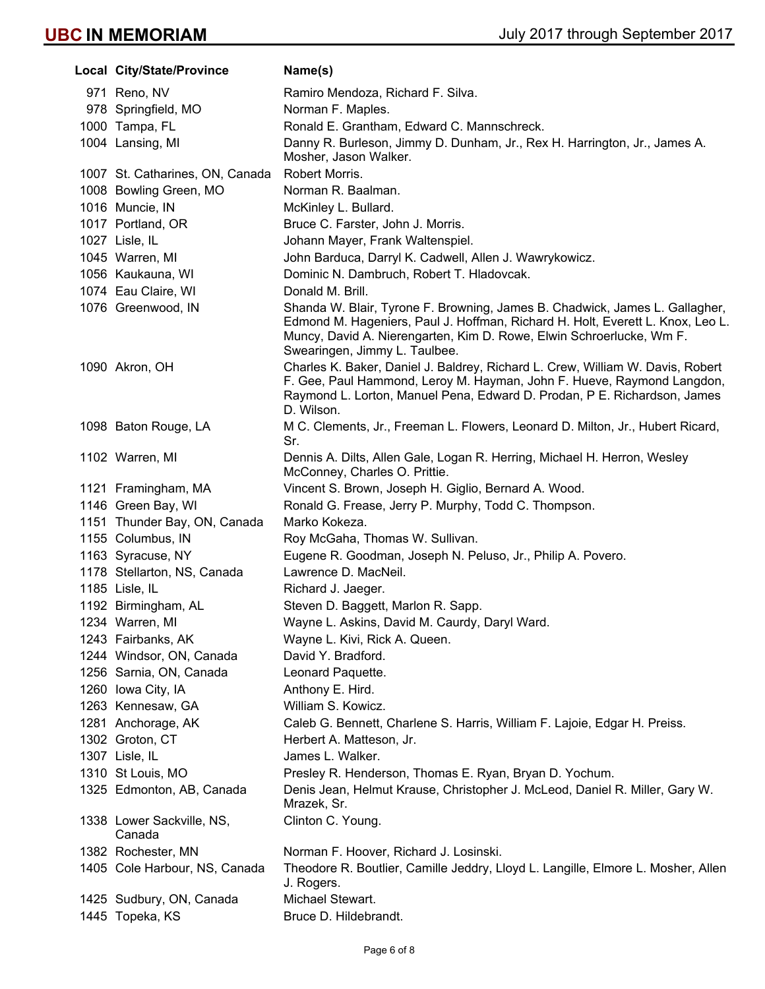| Local City/State/Province           | Name(s)                                                                                                                                                                                                                                                                |
|-------------------------------------|------------------------------------------------------------------------------------------------------------------------------------------------------------------------------------------------------------------------------------------------------------------------|
| 971 Reno, NV                        | Ramiro Mendoza, Richard F. Silva.                                                                                                                                                                                                                                      |
| 978 Springfield, MO                 | Norman F. Maples.                                                                                                                                                                                                                                                      |
| 1000 Tampa, FL                      | Ronald E. Grantham, Edward C. Mannschreck.                                                                                                                                                                                                                             |
| 1004 Lansing, MI                    | Danny R. Burleson, Jimmy D. Dunham, Jr., Rex H. Harrington, Jr., James A.<br>Mosher, Jason Walker.                                                                                                                                                                     |
| 1007 St. Catharines, ON, Canada     | Robert Morris.                                                                                                                                                                                                                                                         |
| 1008 Bowling Green, MO              | Norman R. Baalman.                                                                                                                                                                                                                                                     |
| 1016 Muncie, IN                     | McKinley L. Bullard.                                                                                                                                                                                                                                                   |
| 1017 Portland, OR                   | Bruce C. Farster, John J. Morris.                                                                                                                                                                                                                                      |
| 1027 Lisle, IL                      | Johann Mayer, Frank Waltenspiel.                                                                                                                                                                                                                                       |
| 1045 Warren, MI                     | John Barduca, Darryl K. Cadwell, Allen J. Wawrykowicz.                                                                                                                                                                                                                 |
| 1056 Kaukauna, WI                   | Dominic N. Dambruch, Robert T. Hladovcak.                                                                                                                                                                                                                              |
| 1074 Eau Claire, WI                 | Donald M. Brill.                                                                                                                                                                                                                                                       |
| 1076 Greenwood, IN                  | Shanda W. Blair, Tyrone F. Browning, James B. Chadwick, James L. Gallagher,<br>Edmond M. Hageniers, Paul J. Hoffman, Richard H. Holt, Everett L. Knox, Leo L.<br>Muncy, David A. Nierengarten, Kim D. Rowe, Elwin Schroerlucke, Wm F.<br>Swearingen, Jimmy L. Taulbee. |
| 1090 Akron, OH                      | Charles K. Baker, Daniel J. Baldrey, Richard L. Crew, William W. Davis, Robert<br>F. Gee, Paul Hammond, Leroy M. Hayman, John F. Hueve, Raymond Langdon,<br>Raymond L. Lorton, Manuel Pena, Edward D. Prodan, P E. Richardson, James<br>D. Wilson.                     |
| 1098 Baton Rouge, LA                | M C. Clements, Jr., Freeman L. Flowers, Leonard D. Milton, Jr., Hubert Ricard,<br>Sr.                                                                                                                                                                                  |
| 1102 Warren, MI                     | Dennis A. Dilts, Allen Gale, Logan R. Herring, Michael H. Herron, Wesley<br>McConney, Charles O. Prittie.                                                                                                                                                              |
| 1121 Framingham, MA                 | Vincent S. Brown, Joseph H. Giglio, Bernard A. Wood.                                                                                                                                                                                                                   |
| 1146 Green Bay, WI                  | Ronald G. Frease, Jerry P. Murphy, Todd C. Thompson.                                                                                                                                                                                                                   |
| 1151 Thunder Bay, ON, Canada        | Marko Kokeza.                                                                                                                                                                                                                                                          |
| 1155 Columbus, IN                   | Roy McGaha, Thomas W. Sullivan.                                                                                                                                                                                                                                        |
| 1163 Syracuse, NY                   | Eugene R. Goodman, Joseph N. Peluso, Jr., Philip A. Povero.                                                                                                                                                                                                            |
| 1178 Stellarton, NS, Canada         | Lawrence D. MacNeil.                                                                                                                                                                                                                                                   |
| 1185 Lisle, IL                      | Richard J. Jaeger.                                                                                                                                                                                                                                                     |
| 1192 Birmingham, AL                 | Steven D. Baggett, Marlon R. Sapp.                                                                                                                                                                                                                                     |
| 1234 Warren, MI                     | Wayne L. Askins, David M. Caurdy, Daryl Ward.                                                                                                                                                                                                                          |
| 1243 Fairbanks, AK                  | Wayne L. Kivi, Rick A. Queen.                                                                                                                                                                                                                                          |
| 1244 Windsor, ON, Canada            | David Y. Bradford.                                                                                                                                                                                                                                                     |
| 1256 Sarnia, ON, Canada             | Leonard Paquette.                                                                                                                                                                                                                                                      |
| 1260 Iowa City, IA                  | Anthony E. Hird.                                                                                                                                                                                                                                                       |
| 1263 Kennesaw, GA                   | William S. Kowicz.                                                                                                                                                                                                                                                     |
| 1281 Anchorage, AK                  | Caleb G. Bennett, Charlene S. Harris, William F. Lajoie, Edgar H. Preiss.                                                                                                                                                                                              |
| 1302 Groton, CT                     | Herbert A. Matteson, Jr.                                                                                                                                                                                                                                               |
| 1307 Lisle, IL                      | James L. Walker.                                                                                                                                                                                                                                                       |
| 1310 St Louis, MO                   | Presley R. Henderson, Thomas E. Ryan, Bryan D. Yochum.                                                                                                                                                                                                                 |
| 1325 Edmonton, AB, Canada           | Denis Jean, Helmut Krause, Christopher J. McLeod, Daniel R. Miller, Gary W.<br>Mrazek, Sr.                                                                                                                                                                             |
| 1338 Lower Sackville, NS,<br>Canada | Clinton C. Young.                                                                                                                                                                                                                                                      |
| 1382 Rochester, MN                  | Norman F. Hoover, Richard J. Losinski.                                                                                                                                                                                                                                 |
| 1405 Cole Harbour, NS, Canada       | Theodore R. Boutlier, Camille Jeddry, Lloyd L. Langille, Elmore L. Mosher, Allen<br>J. Rogers.                                                                                                                                                                         |
| 1425 Sudbury, ON, Canada            | Michael Stewart.                                                                                                                                                                                                                                                       |
| 1445 Topeka, KS                     | Bruce D. Hildebrandt.                                                                                                                                                                                                                                                  |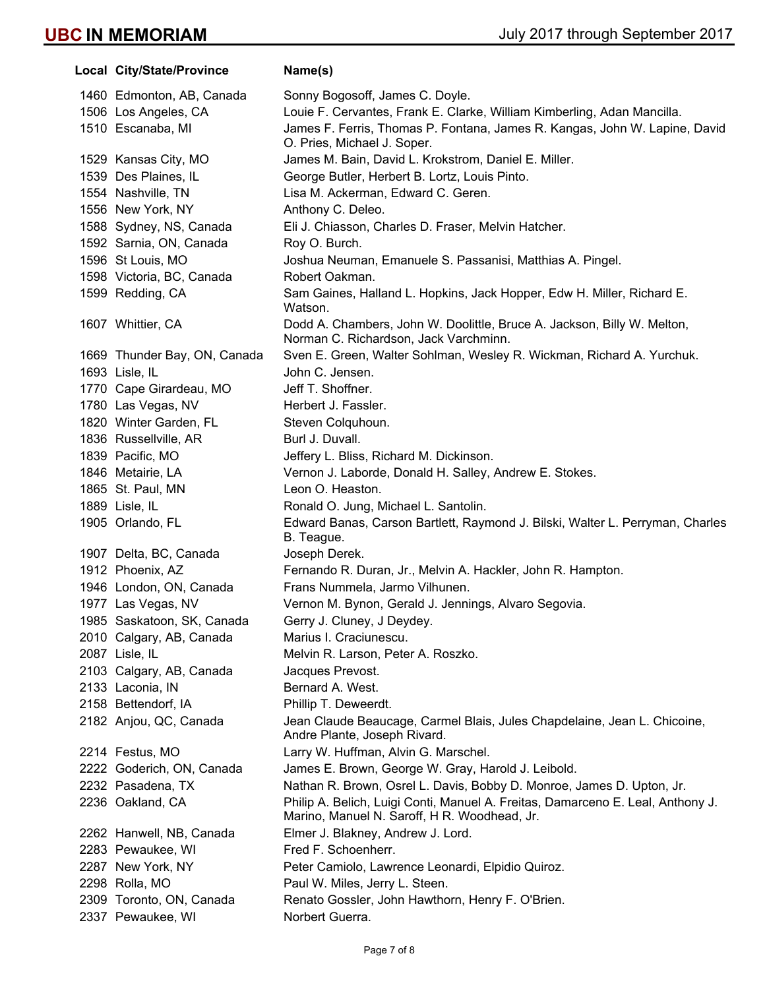**Local City/State/Province Name(s)** 1460 Edmonton, AB, Canada Sonny Bogosoff, James C. Doyle. 1506 Los Angeles, CA Louie F. Cervantes, Frank E. Clarke, William Kimberling, Adan Mancilla. 1510 Escanaba, MI James F. Ferris, Thomas P. Fontana, James R. Kangas, John W. Lapine, David O. Pries, Michael J. Soper. 1529 Kansas City, MO James M. Bain, David L. Krokstrom, Daniel E. Miller. 1539 Des Plaines, IL George Butler, Herbert B. Lortz, Louis Pinto. 1554 Nashville, TN Lisa M. Ackerman, Edward C. Geren. 1556 New York, NY **Anthony C. Deleo.** 1588 Sydney, NS, Canada Eli J. Chiasson, Charles D. Fraser, Melvin Hatcher. 1592 Sarnia, ON, Canada Roy O. Burch. 1596 St Louis, MO Joshua Neuman, Emanuele S. Passanisi, Matthias A. Pingel. 1598 Victoria, BC, Canada Robert Oakman. 1599 Redding, CA Sam Gaines, Halland L. Hopkins, Jack Hopper, Edw H. Miller, Richard E. Watson. 1607 Whittier, CA Dodd A. Chambers, John W. Doolittle, Bruce A. Jackson, Billy W. Melton, Norman C. Richardson, Jack Varchminn. 1669 Thunder Bay, ON, Canada Sven E. Green, Walter Sohlman, Wesley R. Wickman, Richard A. Yurchuk. 1693 Lisle, IL John C. Jensen. 1770 Cape Girardeau, MO Jeff T. Shoffner. 1780 Las Vegas, NV Herbert J. Fassler. 1820 Winter Garden, FL Steven Colquhoun. 1836 Russellville, AR Burl J. Duvall. 1839 Pacific, MO Jeffery L. Bliss, Richard M. Dickinson. 1846 Metairie, LA Vernon J. Laborde, Donald H. Salley, Andrew E. Stokes. 1865 St. Paul, MN Leon O. Heaston. 1889 Lisle, IL **Ronald O. Jung, Michael L. Santolin.** 1905 Orlando, FL Edward Banas, Carson Bartlett, Raymond J. Bilski, Walter L. Perryman, Charles B. Teague. 1907 Delta, BC, Canada Joseph Derek. 1912 Phoenix, AZ Fernando R. Duran, Jr., Melvin A. Hackler, John R. Hampton. 1946 London, ON, Canada Frans Nummela, Jarmo Vilhunen. 1977 Las Vegas, NV Vernon M. Bynon, Gerald J. Jennings, Alvaro Segovia. 1985 Saskatoon, SK, Canada Gerry J. Cluney, J Deydey. 2010 Calgary, AB, Canada Marius I. Craciunescu. 2087 Lisle, IL **Melvin R. Larson, Peter A. Roszko.** 2103 Calgary, AB, Canada Jacques Prevost. 2133 Laconia, IN Bernard A. West. 2158 Bettendorf, IA Phillip T. Deweerdt. 2182 Anjou, QC, Canada Jean Claude Beaucage, Carmel Blais, Jules Chapdelaine, Jean L. Chicoine, Andre Plante, Joseph Rivard. 2214 Festus, MO Larry W. Huffman, Alvin G. Marschel. 2222 Goderich, ON, Canada James E. Brown, George W. Gray, Harold J. Leibold. 2232 Pasadena, TX Nathan R. Brown, Osrel L. Davis, Bobby D. Monroe, James D. Upton, Jr. 2236 Oakland, CA Philip A. Belich, Luigi Conti, Manuel A. Freitas, Damarceno E. Leal, Anthony J. Marino, Manuel N. Saroff, H R. Woodhead, Jr. 2262 Hanwell, NB, Canada Elmer J. Blakney, Andrew J. Lord. 2283 Pewaukee, WI Fred F. Schoenherr. 2287 New York, NY Peter Camiolo, Lawrence Leonardi, Elpidio Quiroz. 2298 Rolla, MO Paul W. Miles, Jerry L. Steen. 2309 Toronto, ON, Canada Renato Gossler, John Hawthorn, Henry F. O'Brien. 2337 Pewaukee, WI Norbert Guerra.